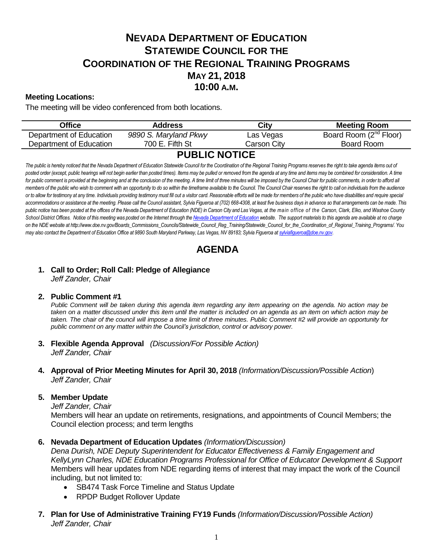# **NEVADA DEPARTMENT OF EDUCATION STATEWIDE COUNCIL FOR THE COORDINATION OF THE REGIONAL TRAINING PROGRAMS MAY 21, 2018 10:00 A.M.**

# **Meeting Locations:**

The meeting will be video conferenced from both locations.

| Office                  | Address               | City        | <b>Meeting Room</b>                |
|-------------------------|-----------------------|-------------|------------------------------------|
| Department of Education | 9890 S. Maryland Pkwy | Las Vegas   | Board Room (2 <sup>nd</sup> Floor) |
| Department of Education | 700 E. Fifth St       | Carson Citv | Board Room                         |
| <b>BURI IA LIATIAE</b>  |                       |             |                                    |

# **PUBLIC NOTICE**

The public is hereby noticed that the Nevada Department of Education Statewide Council for the Coordination of the Regional Training Programs reserves the right to take agenda items out of posted order (except, public hearings will not begin earlier than posted times). Items may be pulled or removed from the agenda at any time and items may be combined for consideration. A time for public comment is provided at the beginning and at the conclusion of the meeting. A time limit of three minutes will be imposed by the Council Chair for public comments, in order to afford all *members of the public who wish to comment with an opportunity to do so within the timeframe available to the Council. The Council Chair reserves the right to call on individuals from the audience*  or to allow for testimony at any time. Individuals providing testimony must fill out a visitor card. Reasonable efforts will be made for members of the public who have disabilities and require special accommodations or assistance at the meeting. Please call the Council assistant, Sylvia Figueroa at (702) 668-4308, at least five business days in advance so that arrangements can be made. This *public notice has been posted at the offices of the Nevada Department of Education (NDE) in Carson City and Las Vegas, at the main office of the Carson, Clark, Elko, and Washoe County*  School District Offices. Notice of this meeting was posted on the Internet through th[e Nevada Department of Education w](http://www.doe.nv.gov/)ebsite. The support materials to this agenda are available at no charge *on the NDE website at http://www.doe.nv.gov/Boards\_Commissions\_Councils/Statewide\_Council\_Reg\_Training/Statewide\_Council\_for\_the\_Coordination\_of\_Regional\_Training\_Programs/. You may also contact the Department of Education Office at 9890 South Maryland Parkway, Las Vegas, NV 89183; Sylvia Figueroa a[t sylviafigueroa@doe.nv.gov.](mailto:sylviafigueroa@doe.nv.gov)* 

# **AGENDA**

#### **1. Call to Order; Roll Call: Pledge of Allegiance** *Jeff Zander, Chair*

#### **2. Public Comment #1**

*Public Comment will be taken during this agenda item regarding any item appearing on the agenda. No action may be* taken on a matter discussed under this item until the matter is included on an agenda as an item on which action may be *taken. The chair of the council will impose a time limit of three minutes. Public Comment #2 will provide an opportunity for public comment on any matter within the Council's jurisdiction, control or advisory power.*

- **3. Flexible Agenda Approval** *(Discussion/For Possible Action) Jeff Zander, Chair*
- **4. Approval of Prior Meeting Minutes for April 30, 2018** *(Information/Discussion/Possible Action*) *Jeff Zander, Chair*

#### **5. Member Update**

*Jeff Zander, Chair*

Members will hear an update on retirements, resignations, and appointments of Council Members; the Council election process; and term lengths

#### **6. Nevada Department of Education Updates** *(Information/Discussion)*

*Dena Durish, NDE Deputy Superintendent for Educator Effectiveness & Family Engagement and KellyLynn Charles, NDE Education Programs Professional for Office of Educator Development & Support* Members will hear updates from NDE regarding items of interest that may impact the work of the Council including, but not limited to:

- SB474 Task Force Timeline and Status Update
- RPDP Budget Rollover Update
- **7. Plan for Use of Administrative Training FY19 Funds** *(Information/Discussion/Possible Action) Jeff Zander, Chair*